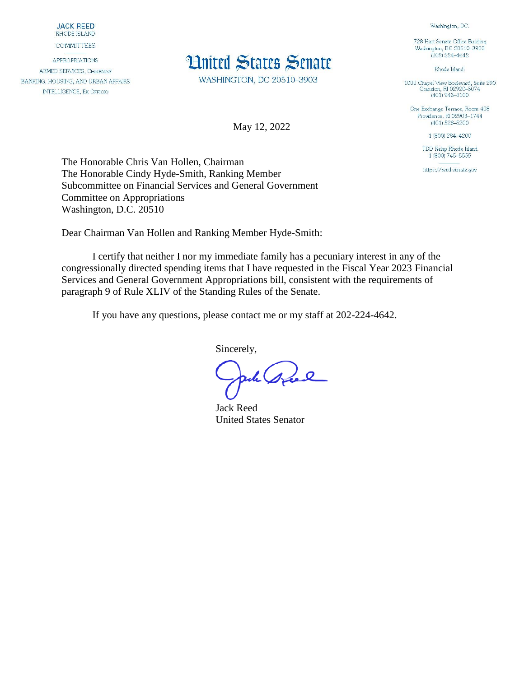**JACK REED** RHODE ISLAND

**COMMITTEES** 

**APPROPRIATIONS** ARMED SERVICES, CHAIRMAN BANKING, HOUSING, AND URBAN AFFAIRS **INTELLIGENCE, EX OFFICIO** 



WASHINGTON, DC 20510-3903

May 12, 2022

728 Hart Senate Office Building Washington, DC 20510-3903  $(202)$  224-4642

Washington, DC:

Rhode Island:

1000 Chapel View Boulevard, Suite 290<br>Cranston, RI 02920-3074  $(401)$  943-3100

One Exchange Terrace, Room 408 Providence, RI 02903-1744  $(401)$  528-5200

1 (800) 284-4200

TDD Relay Rhode Island 1 (800) 745-5555

https://reed.senate.gov

The Honorable Chris Van Hollen, Chairman The Honorable Cindy Hyde-Smith, Ranking Member Subcommittee on Financial Services and General Government Committee on Appropriations Washington, D.C. 20510

Dear Chairman Van Hollen and Ranking Member Hyde-Smith:

I certify that neither I nor my immediate family has a pecuniary interest in any of the congressionally directed spending items that I have requested in the Fiscal Year 2023 Financial Services and General Government Appropriations bill, consistent with the requirements of paragraph 9 of Rule XLIV of the Standing Rules of the Senate.

If you have any questions, please contact me or my staff at 202-224-4642.

Sincerely,

ph gree

Jack Reed United States Senator